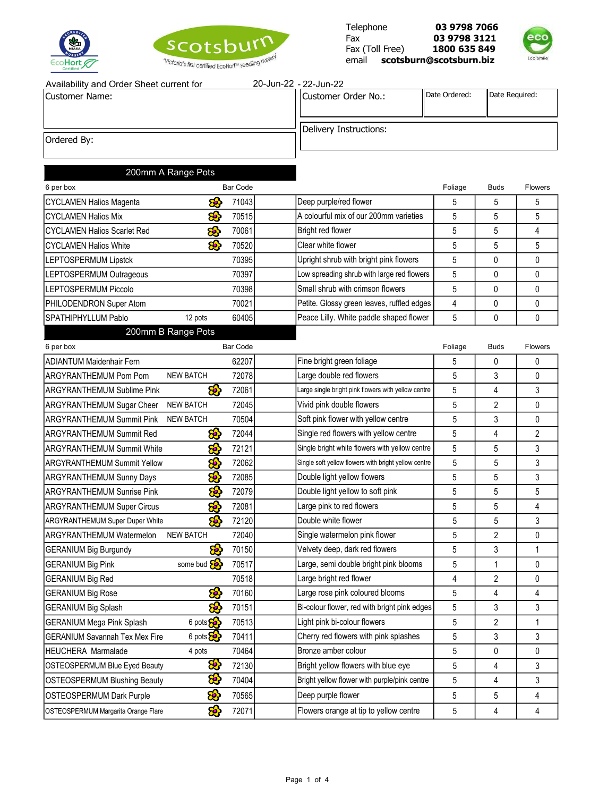





| Availability and Order Sheet current for | 20-Jun-22 - 22-Jun-22  |                         |                |
|------------------------------------------|------------------------|-------------------------|----------------|
| <b>Customer Name:</b>                    | ICustomer Order No.:   | <b>II</b> Date Ordered: | Date Required: |
|                                          | Delivery Instructions: |                         |                |
| Ordered By:                              |                        |                         |                |

# 200mm A Range Pots

| 6 per box                           | <b>Bar Code</b>    |       |                                            | Foliage | <b>Buds</b> | <b>Flowers</b> |
|-------------------------------------|--------------------|-------|--------------------------------------------|---------|-------------|----------------|
| CYCLAMEN Halios Magenta             | සි                 | 71043 | Deep purple/red flower                     | 5       | 5           | 5              |
| <b>ICYCLAMEN Halios Mix</b>         | 8                  | 70515 | A colourful mix of our 200mm varieties     | 5       | 5           |                |
| <b>ICYCLAMEN Halios Scarlet Red</b> | කි                 | 70061 | Bright red flower                          | 5       | 5           |                |
| <b>ICYCLAMEN Halios White</b>       | 8                  | 70520 | Clear white flower                         | 5       | 5           | 5              |
| LEPTOSPERMUM Lipstck                |                    | 70395 | Upright shrub with bright pink flowers     | 5       | 0           |                |
| <b>LEPTOSPERMUM Outrageous</b>      |                    | 70397 | Low spreading shrub with large red flowers | 5       | 0           |                |
| <b>ILEPTOSPERMUM Piccolo</b>        |                    | 70398 | Small shrub with crimson flowers           | 5       | 0           | 0              |
| <b>PHILODENDRON Super Atom</b>      |                    | 70021 | Petite. Glossy green leaves, ruffled edges | 4       | 0           |                |
| <b>ISPATHIPHYLLUM Pablo</b>         | 12 pots            | 60405 | Peace Lilly. White paddle shaped flower    | 5       | 0           | <sup>0</sup>   |
|                                     | 000mm D Dange Deta |       |                                            |         |             |                |

### 200mm B Range Pots

| 6 per box                                                     | <b>Bar Code</b>          |                                                      | Foliage | <b>Buds</b>    | Flowers        |
|---------------------------------------------------------------|--------------------------|------------------------------------------------------|---------|----------------|----------------|
| <b>ADIANTUM Maidenhair Fern</b>                               | 62207                    | Fine bright green foliage                            | 5       | $\Omega$       | $\Omega$       |
| ARGYRANTHEMUM Pom Pom<br><b>NEW BATCH</b>                     | 72078                    | Large double red flowers                             | 5       | 3              | $\Omega$       |
| <b>ARGYRANTHEMUM Sublime Pink</b>                             | 8<br>72061               | Large single bright pink flowers with yellow centre  | 5       | 4              | 3              |
| <b>NEW BATCH</b><br>ARGYRANTHEMUM Sugar Cheer                 | 72045                    | Vivid pink double flowers                            | 5       | $\overline{2}$ | $\Omega$       |
| <b>ARGYRANTHEMUM Summit Pink</b><br><b>NEW BATCH</b>          | 70504                    | Soft pink flower with yellow centre                  | 5       | 3              | $\mathbf{0}$   |
| <b>ARGYRANTHEMUM Summit Red</b>                               | <mark>හි</mark><br>72044 | Single red flowers with yellow centre                | 5       | 4              | $\overline{2}$ |
| <b>ARGYRANTHEMUM Summit White</b>                             | කි<br>72121              | Single bright white flowers with yellow centre       | 5       | 5              | 3              |
| <b>ARGYRANTHEMUM Summit Yellow</b>                            | සි<br>72062              | Single soft yellow flowers with bright yellow centre | 5       | 5              | 3              |
| <b>ARGYRANTHEMUM Sunny Days</b>                               | <mark>හි</mark><br>72085 | Double light yellow flowers                          | 5       | 5              | 3              |
| <b>ARGYRANTHEMUM Sunrise Pink</b>                             | සි<br>72079              | Double light yellow to soft pink                     | 5       | 5              | 5              |
| <b>ARGYRANTHEMUM Super Circus</b>                             | සි<br>72081              | Large pink to red flowers                            | 5       | 5              | 4              |
| <b>ARGYRANTHEMUM Super Duper White</b>                        | කි<br>72120              | Double white flower                                  | 5       | 5              | 3              |
| ARGYRANTHEMUM Watermelon<br><b>NEW BATCH</b>                  | 72040                    | Single watermelon pink flower                        | 5       | $\overline{2}$ | $\Omega$       |
| <b>GERANIUM Big Burgundy</b>                                  | 8<br>70150               | Velvety deep, dark red flowers                       | 5       | 3              | 1              |
| some bud <b>&amp;</b><br><b>GERANIUM Big Pink</b>             | 70517                    | Large, semi double bright pink blooms                | 5       | 1              | $\mathbf{0}$   |
| <b>GERANIUM Big Red</b>                                       | 70518                    | Large bright red flower                              | 4       | $\overline{2}$ | 0              |
| <b>GERANIUM Big Rose</b>                                      | සි<br>70160              | Large rose pink coloured blooms                      | 5       | 4              | 4              |
| <b>GERANIUM Big Splash</b>                                    | කි<br>70151              | Bi-colour flower, red with bright pink edges         | 5       | 3              | 3              |
| 6 pots 8<br><b>GERANIUM Mega Pink Splash</b>                  | 70513                    | Light pink bi-colour flowers                         | 5       | $\overline{2}$ | 1              |
| 6 pots $\mathcal{E}$<br><b>GERANIUM Savannah Tex Mex Fire</b> | 70411                    | Cherry red flowers with pink splashes                | 5       | 3              | 3              |
| <b>HEUCHERA Marmalade</b><br>4 pots                           | 70464                    | Bronze amber colour                                  | 5       | $\mathbf{0}$   | $\mathbf{0}$   |
| OSTEOSPERMUM Blue Eyed Beauty                                 | <mark>හි</mark><br>72130 | Bright yellow flowers with blue eye                  | 5       | 4              | 3              |
| <b>OSTEOSPERMUM Blushing Beauty</b>                           | 8<br>70404               | Bright yellow flower with purple/pink centre         | 5       | 4              | 3              |
| <b>OSTEOSPERMUM Dark Purple</b>                               | <mark>හි</mark><br>70565 | Deep purple flower                                   | 5       | 5              | 4              |
| OSTEOSPERMUM Margarita Orange Flare                           | සි<br>72071              | Flowers orange at tip to yellow centre               | 5       | 4              | 4              |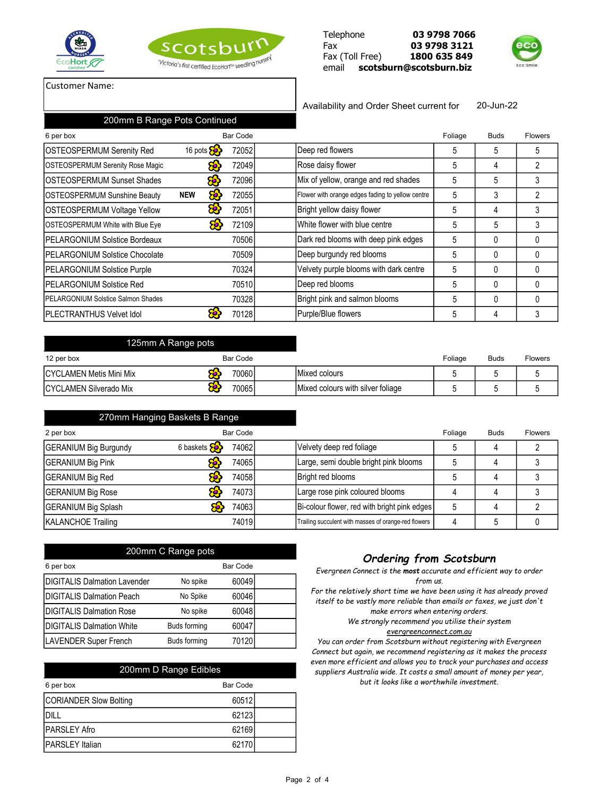





### Customer Name:

Availability and Order Sheet current for 20-Jun-22

| 200mm B Range Pots Continued               |                                                         |                 |                                                  |         |             |                |
|--------------------------------------------|---------------------------------------------------------|-----------------|--------------------------------------------------|---------|-------------|----------------|
| 6 per box                                  |                                                         | <b>Bar Code</b> |                                                  | Foliage | <b>Buds</b> | <b>Flowers</b> |
| <b>OSTEOSPERMUM Serenity Red</b>           | 16 pots $\left\{\begin{matrix}6\\7\end{matrix}\right\}$ | 72052           | Deep red flowers                                 | 5       | 5           | 5              |
| <b>OSTEOSPERMUM Serenity Rose Magic</b>    | ෂ                                                       | 72049           | Rose daisy flower                                | 5       | 4           |                |
| <b>IOSTEOSPERMUM Sunset Shades</b>         | 8 <mark>8</mark>                                        | 72096           | Mix of yellow, orange and red shades             | 5       | 5           |                |
| <b>OSTEOSPERMUM Sunshine Beauty</b>        | æ.<br><b>NEW</b>                                        | 72055           | Flower with orange edges fading to yellow centre | 5       | 3           | 2              |
| <b>OSTEOSPERMUM Voltage Yellow</b>         | ස                                                       | 72051           | Bright yellow daisy flower                       | 5       | 4           | 3              |
| <b>OSTEOSPERMUM White with Blue Eye</b>    | æ                                                       | 72109           | White flower with blue centre                    | 5       | 5           |                |
| <b>IPELARGONIUM Solstice Bordeaux</b>      |                                                         | 70506           | Dark red blooms with deep pink edges             | 5       | $\Omega$    |                |
| <b>IPELARGONIUM Solstice Chocolate</b>     |                                                         | 70509           | Deep burgundy red blooms                         | 5       | $\Omega$    |                |
| <b>PELARGONIUM Solstice Purple</b>         |                                                         | 70324           | Velvety purple blooms with dark centre           | 5       | 0           |                |
| <b>IPELARGONIUM Solstice Red</b>           |                                                         | 70510           | Deep red blooms                                  | 5       | $\Omega$    |                |
| <b>IPELARGONIUM Solstice Salmon Shades</b> |                                                         | 70328           | Bright pink and salmon blooms                    | 5       | $\Omega$    | $\Omega$       |
| <b>IPLECTRANTHUS Velvet Idol</b>           |                                                         | 70128           | Purple/Blue flowers                              | 5       | 4           |                |

| 125mm A Range pots              |            |                                   |         |             |                |
|---------------------------------|------------|-----------------------------------|---------|-------------|----------------|
| 12 per box                      | Bar Code   |                                   | Foliage | <b>Buds</b> | <b>Flowers</b> |
| <b>ICYCLAMEN Metis Mini Mix</b> | 70060      | Mixed colours                     |         |             |                |
| ICYCLAMEN Silverado Mix         | æ<br>70065 | Mixed colours with silver foliage |         |             |                |

| 270mm Hanging Baskets B Range |                         |          |  |                                                      |              |             |                |
|-------------------------------|-------------------------|----------|--|------------------------------------------------------|--------------|-------------|----------------|
| 2 per box                     |                         | Bar Code |  |                                                      | Foliage      | <b>Buds</b> | <b>Flowers</b> |
| <b>GERANIUM Big Burgundy</b>  | 6 baskets $\mathcal{E}$ | 74062    |  | Velvety deep red foliage                             | <sub>5</sub> | 4           |                |
| <b>GERANIUM Big Pink</b>      |                         | 74065    |  | Large, semi double bright pink blooms                |              | 4           |                |
| <b>GERANIUM Big Red</b>       |                         | 74058    |  | Bright red blooms                                    | 5            | 4           |                |
| <b>GERANIUM Big Rose</b>      |                         | 74073    |  | Large rose pink coloured blooms                      | 4            | 4           |                |
| <b>GERANIUM Big Splash</b>    |                         | 74063    |  | Bi-colour flower, red with bright pink edges         | 5            | 4           |                |
| <b>KALANCHOE Trailing</b>     |                         | 74019    |  | Trailing succulent with masses of orange-red flowers | 4            | 5           |                |

| 200mm C Range pots                  |                     |          |  |  |  |  |
|-------------------------------------|---------------------|----------|--|--|--|--|
| 6 per box                           |                     | Bar Code |  |  |  |  |
| <b>DIGITALIS Dalmation Lavender</b> | No spike            | 60049    |  |  |  |  |
| <b>DIGITALIS Dalmation Peach</b>    | No Spike            | 60046    |  |  |  |  |
| <b>DIGITALIS Dalmation Rose</b>     | No spike            | 60048    |  |  |  |  |
| <b>DIGITALIS Dalmation White</b>    | <b>Buds forming</b> | 60047    |  |  |  |  |
| <b>LAVENDER Super French</b>        | <b>Buds forming</b> | 70120    |  |  |  |  |

| 200mm D Range Edibles  |          |
|------------------------|----------|
| 6 per box              | Bar Code |
| CORIANDER Slow Bolting | 60512    |
| DILL                   | 62123    |
| <b>PARSLEY Afro</b>    | 62169    |
| <b>PARSLEY Italian</b> | 62170    |

## *Ordering from Scotsburn*

*Evergreen Connect is the most accurate and efficient way to order from us.*

*For the relatively short time we have been using it has already proved itself to be vastly more reliable than emails or faxes, we just don't make errors when entering orders.*

> *We strongly recommend you utilise their system evergreenconnect.com.au*

*You can order from Scotsburn without registering with Evergreen Connect but again, we recommend registering as it makes the process even more efficient and allows you to track your purchases and access suppliers Australia wide. It costs a small amount of money per year, but it looks like a worthwhile investment.*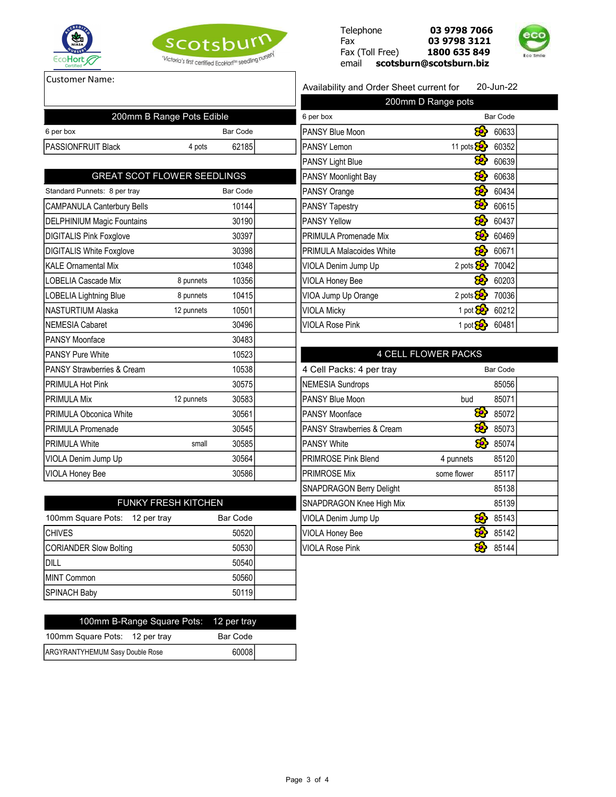





Customer Name:

#### Availability and Order Sheet current for 20-Jun-22

| 200mm B Range Pots Edible             |            |                 | 6 per box                             |                                 | <b>Bar Code</b> |
|---------------------------------------|------------|-----------------|---------------------------------------|---------------------------------|-----------------|
| 6 per box                             |            | <b>Bar Code</b> | PANSY Blue Moon                       | <mark>හි</mark>                 | 60633           |
| PASSIONFRUIT Black                    | 4 pots     | 62185           | <b>PANSY Lemon</b>                    | 11 pots                         | 60352           |
|                                       |            |                 | PANSY Light Blue                      | හි                              | 60639           |
| <b>GREAT SCOT FLOWER SEEDLINGS</b>    |            |                 | PANSY Moonlight Bay                   | 8                               | 60638           |
| Standard Punnets: 8 per tray          |            | <b>Bar Code</b> | PANSY Orange                          | සි                              | 60434           |
| <b>CAMPANULA Canterbury Bells</b>     |            | 10144           | <b>PANSY Tapestry</b>                 | æ,                              | 60615           |
| <b>DELPHINIUM Magic Fountains</b>     |            | 30190           | <b>PANSY Yellow</b>                   | <mark>හි</mark>                 | 60437           |
| <b>DIGITALIS Pink Foxglove</b>        |            | 30397           | <b>PRIMULA Promenade Mix</b>          | කි                              | 60469           |
| <b>DIGITALIS White Foxglove</b>       |            | 30398           | <b>PRIMULA Malacoides White</b>       | 8                               | 60671           |
| <b>KALE Ornamental Mix</b>            |            | 10348           | VIOLA Denim Jump Up                   | 2 pots $\mathcal{E}$            | 70042           |
| LOBELIA Cascade Mix                   | 8 punnets  | 10356           | VIOLA Honey Bee                       |                                 | 60203           |
| LOBELIA Lightning Blue                | 8 punnets  | 10415           | VIOA Jump Up Orange                   | 2 pots $\overline{\mathcal{S}}$ | 70036           |
| NASTURTIUM Alaska                     | 12 punnets | 10501           | <b>VIOLA Micky</b>                    | 1 pot $\frac{1}{2}$             | 60212           |
| NEMESIA Cabaret                       |            | 30496           | <b>VIOLA Rose Pink</b>                | 1 pot $\overline{\mathbf{S}}$   | 60481           |
| <b>PANSY Moonface</b>                 |            | 30483           |                                       |                                 |                 |
| <b>PANSY Pure White</b>               |            | 10523           |                                       | <b>4 CELL FLOWER PACKS</b>      |                 |
| <b>PANSY Strawberries &amp; Cream</b> |            | 10538           | 4 Cell Packs: 4 per tray              |                                 | <b>Bar Code</b> |
| <b>PRIMULA Hot Pink</b>               |            | 30575           | <b>NEMESIA Sundrops</b>               |                                 | 85056           |
| <b>PRIMULA Mix</b>                    | 12 punnets | 30583           | PANSY Blue Moon                       | bud                             | 85071           |
| <b>PRIMULA Obconica White</b>         |            | 30561           | PANSY Moonface                        | සි                              | 85072           |
| <b>PRIMULA Promenade</b>              |            | 30545           | <b>PANSY Strawberries &amp; Cream</b> | æ,                              | 85073           |
| <b>PRIMULA White</b>                  | small      | 30585           | <b>PANSY White</b>                    | කි                              | 85074           |
| VIOLA Denim Jump Up                   |            | 30564           | PRIMROSE Pink Blend                   | 4 punnets                       | 85120           |
| VIOLA Honey Bee                       |            | 30586           | <b>PRIMROSE Mix</b>                   | some flower                     | 85117           |
|                                       |            |                 |                                       |                                 |                 |

| 200mm D Range pots              |                         |                 |  |  |  |
|---------------------------------|-------------------------|-----------------|--|--|--|
| 6 per box                       |                         | <b>Bar Code</b> |  |  |  |
| PANSY Blue Moon                 |                         | 60633           |  |  |  |
| <b>PANSY Lemon</b>              | 11 pots                 | 60352           |  |  |  |
| <b>PANSY Light Blue</b>         |                         | 60639           |  |  |  |
| <b>PANSY Moonlight Bay</b>      |                         | 60638           |  |  |  |
| <b>PANSY Orange</b>             |                         | 60434           |  |  |  |
| <b>PANSY Tapestry</b>           | 80,                     | 60615           |  |  |  |
| <b>PANSY Yellow</b>             |                         | 60437           |  |  |  |
| <b>PRIMULA Promenade Mix</b>    |                         | 60469           |  |  |  |
| <b>PRIMULA Malacoides White</b> | 50,                     | 60671           |  |  |  |
| VIOLA Denim Jump Up             | 2 pots <mark>So.</mark> | 70042           |  |  |  |
| VIOLA Honey Bee                 |                         | 60203           |  |  |  |
| VIOA Jump Up Orange             | 2 pots                  | 70036           |  |  |  |
| VIOLA Micky                     | 1 pot $\mathcal{E}$     | 60212           |  |  |  |
| <b>VIOLA Rose Pink</b>          | 1 pot:                  | 60481           |  |  |  |

## 4 CELL FLOWER PACKS

|             | 85056 |                 |
|-------------|-------|-----------------|
| bud         | 85071 |                 |
| æ,          | 85072 |                 |
| æ,          | 85073 |                 |
| 83          | 85074 |                 |
| 4 punnets   | 85120 |                 |
| some flower | 85117 |                 |
|             | 85138 |                 |
|             | 85139 |                 |
| ÷,          | 85143 |                 |
| 70,         | 85142 |                 |
|             | 85144 |                 |
|             |       | <b>Bar Code</b> |

| <b>FUNKY FRESH KITCHEN</b> | SNAPDRAGON Knee High Mix |  |       |  |
|----------------------------|--------------------------|--|-------|--|
| Bar Code                   | VIOLA Denim Jump Up      |  | 85143 |  |
| 50520                      | VIOLA Honey Bee          |  | 85142 |  |
| 50530                      | VIOLA Rose Pink          |  | 85144 |  |
| 50540                      |                          |  |       |  |
| 50560                      |                          |  |       |  |
| 50119                      |                          |  |       |  |
|                            |                          |  |       |  |

| 100mm B-Range Square Pots: 12 per tray |  |          |  |
|----------------------------------------|--|----------|--|
| 100mm Square Pots: 12 per tray         |  | Bar Code |  |
| ARGYRANTYHEMUM Sasy Double Rose        |  | 60008    |  |